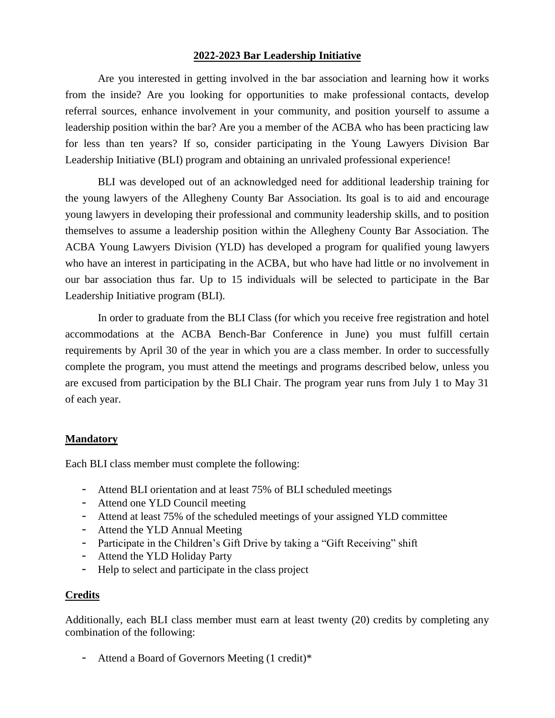### **2022-2023 Bar Leadership Initiative**

Are you interested in getting involved in the bar association and learning how it works from the inside? Are you looking for opportunities to make professional contacts, develop referral sources, enhance involvement in your community, and position yourself to assume a leadership position within the bar? Are you a member of the ACBA who has been practicing law for less than ten years? If so, consider participating in the Young Lawyers Division Bar Leadership Initiative (BLI) program and obtaining an unrivaled professional experience!

BLI was developed out of an acknowledged need for additional leadership training for the young lawyers of the Allegheny County Bar Association. Its goal is to aid and encourage young lawyers in developing their professional and community leadership skills, and to position themselves to assume a leadership position within the Allegheny County Bar Association. The ACBA Young Lawyers Division (YLD) has developed a program for qualified young lawyers who have an interest in participating in the ACBA, but who have had little or no involvement in our bar association thus far. Up to 15 individuals will be selected to participate in the Bar Leadership Initiative program (BLI).

In order to graduate from the BLI Class (for which you receive free registration and hotel accommodations at the ACBA Bench-Bar Conference in June) you must fulfill certain requirements by April 30 of the year in which you are a class member. In order to successfully complete the program, you must attend the meetings and programs described below, unless you are excused from participation by the BLI Chair. The program year runs from July 1 to May 31 of each year.

### **Mandatory**

Each BLI class member must complete the following:

- Attend BLI orientation and at least 75% of BLI scheduled meetings
- Attend one YLD Council meeting
- Attend at least 75% of the scheduled meetings of your assigned YLD committee
- Attend the YLD Annual Meeting
- Participate in the Children's Gift Drive by taking a "Gift Receiving" shift
- Attend the YLD Holiday Party
- Help to select and participate in the class project

#### **Credits**

Additionally, each BLI class member must earn at least twenty (20) credits by completing any combination of the following:

- Attend a Board of Governors Meeting (1 credit)\*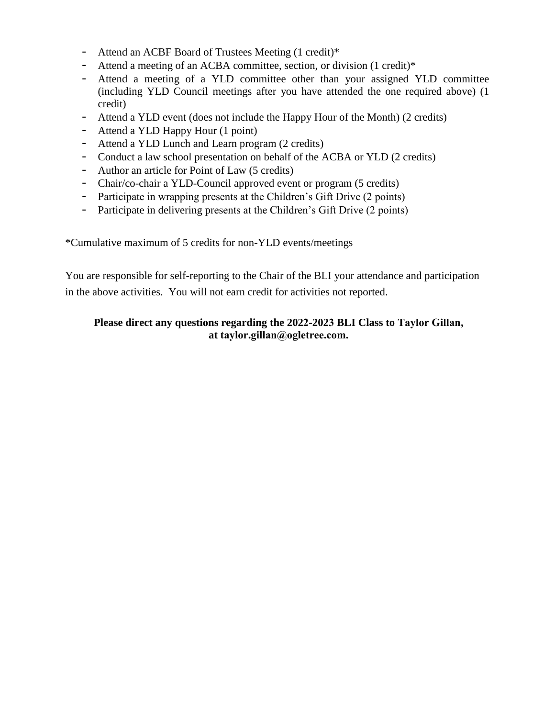- Attend an ACBF Board of Trustees Meeting (1 credit)\*
- Attend a meeting of an ACBA committee, section, or division (1 credit)\*
- Attend a meeting of a YLD committee other than your assigned YLD committee (including YLD Council meetings after you have attended the one required above) (1 credit)
- Attend a YLD event (does not include the Happy Hour of the Month) (2 credits)
- Attend a YLD Happy Hour (1 point)
- Attend a YLD Lunch and Learn program (2 credits)
- Conduct a law school presentation on behalf of the ACBA or YLD (2 credits)
- Author an article for Point of Law (5 credits)
- Chair/co-chair a YLD-Council approved event or program (5 credits)
- Participate in wrapping presents at the Children's Gift Drive (2 points)
- Participate in delivering presents at the Children's Gift Drive (2 points)

\*Cumulative maximum of 5 credits for non-YLD events/meetings

You are responsible for self-reporting to the Chair of the BLI your attendance and participation in the above activities. You will not earn credit for activities not reported.

# **Please direct any questions regarding the 2022-2023 BLI Class to Taylor Gillan, at taylor.gillan@ogletree.com.**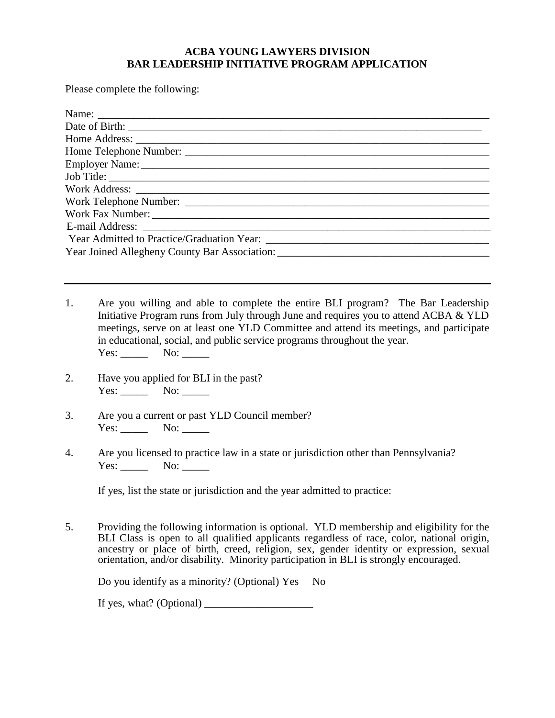## **ACBA YOUNG LAWYERS DIVISION BAR LEADERSHIP INITIATIVE PROGRAM APPLICATION**

Please complete the following:

- 1. Are you willing and able to complete the entire BLI program? The Bar Leadership Initiative Program runs from July through June and requires you to attend ACBA & YLD meetings, serve on at least one YLD Committee and attend its meetings, and participate in educational, social, and public service programs throughout the year. Yes: \_\_\_\_\_\_ No: \_\_\_\_\_
- 2. Have you applied for BLI in the past? Yes: \_\_\_\_\_\_\_\_ No: \_\_\_\_\_\_
- 3. Are you a current or past YLD Council member? Yes: No:
- 4. Are you licensed to practice law in a state or jurisdiction other than Pennsylvania? Yes: No:

If yes, list the state or jurisdiction and the year admitted to practice:

5. Providing the following information is optional. YLD membership and eligibility for the BLI Class is open to all qualified applicants regardless of race, color, national origin, ancestry or place of birth, creed, religion, sex, gender identity or expression, sexual orientation, and/or disability. Minority participation in BLI is strongly encouraged.

Do you identify as a minority? (Optional) Yes No

If yes, what? (Optional)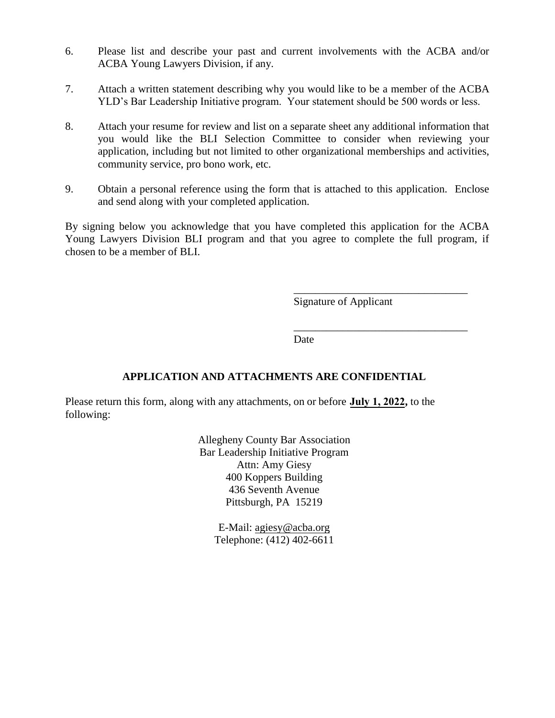- 6. Please list and describe your past and current involvements with the ACBA and/or ACBA Young Lawyers Division, if any.
- 7. Attach a written statement describing why you would like to be a member of the ACBA YLD's Bar Leadership Initiative program. Your statement should be 500 words or less.
- 8. Attach your resume for review and list on a separate sheet any additional information that you would like the BLI Selection Committee to consider when reviewing your application, including but not limited to other organizational memberships and activities, community service, pro bono work, etc.
- 9. Obtain a personal reference using the form that is attached to this application. Enclose and send along with your completed application.

By signing below you acknowledge that you have completed this application for the ACBA Young Lawyers Division BLI program and that you agree to complete the full program, if chosen to be a member of BLI.

Signature of Applicant

\_\_\_\_\_\_\_\_\_\_\_\_\_\_\_\_\_\_\_\_\_\_\_\_\_\_\_\_\_\_\_\_

\_\_\_\_\_\_\_\_\_\_\_\_\_\_\_\_\_\_\_\_\_\_\_\_\_\_\_\_\_\_\_\_

Date

# **APPLICATION AND ATTACHMENTS ARE CONFIDENTIAL**

Please return this form, along with any attachments, on or before **July 1, 2022,** to the following:

> Allegheny County Bar Association Bar Leadership Initiative Program Attn: Amy Giesy 400 Koppers Building 436 Seventh Avenue Pittsburgh, PA 15219

> > E-Mail: agiesy@acba.org Telephone: (412) 402-6611